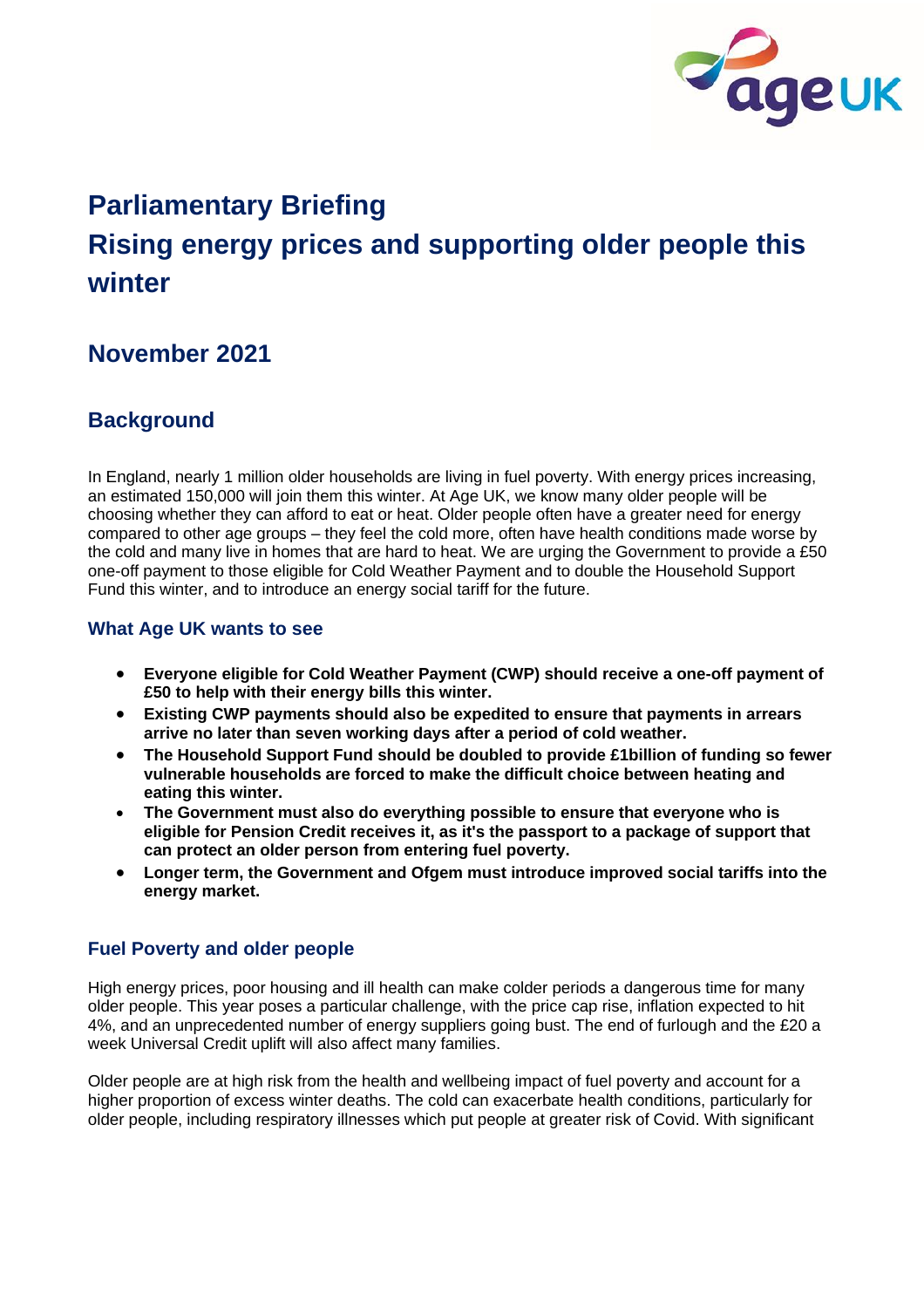

# **Parliamentary Briefing Rising energy prices and supporting older people this winter**

# **November 2021**

## **Background**

In England, nearly 1 million older households are living in fuel poverty. With energy prices increasing, an estimated 150,000 will join them this winter. At Age UK, we know many older people will be choosing whether they can afford to eat or heat. Older people often have a greater need for energy compared to other age groups – they feel the cold more, often have health conditions made worse by the cold and many live in homes that are hard to heat. We are urging the Government to provide a £50 one-off payment to those eligible for Cold Weather Payment and to double the Household Support Fund this winter, and to introduce an energy social tariff for the future.

## **What Age UK wants to see**

- **Everyone eligible for Cold Weather Payment (CWP) should receive a one-off payment of £50 to help with their energy bills this winter.**
- **Existing CWP payments should also be expedited to ensure that payments in arrears arrive no later than seven working days after a period of cold weather.**
- **The Household Support Fund should be doubled to provide £1billion of funding so fewer vulnerable households are forced to make the difficult choice between heating and eating this winter.**
- **The Government must also do everything possible to ensure that everyone who is eligible for Pension Credit receives it, as it's the passport to a package of support that can protect an older person from entering fuel poverty.**
- **Longer term, the Government and Ofgem must introduce improved social tariffs into the energy market.**

### **Fuel Poverty and older people**

High energy prices, poor housing and ill health can make colder periods a dangerous time for many older people. This year poses a particular challenge, with the price cap rise, inflation expected to hit 4%, and an unprecedented number of energy suppliers going bust. The end of furlough and the £20 a week Universal Credit uplift will also affect many families.

Older people are at high risk from the health and wellbeing impact of fuel poverty and account for a higher proportion of excess winter deaths. The cold can exacerbate health conditions, particularly for older people, including respiratory illnesses which put people at greater risk of Covid. With significant